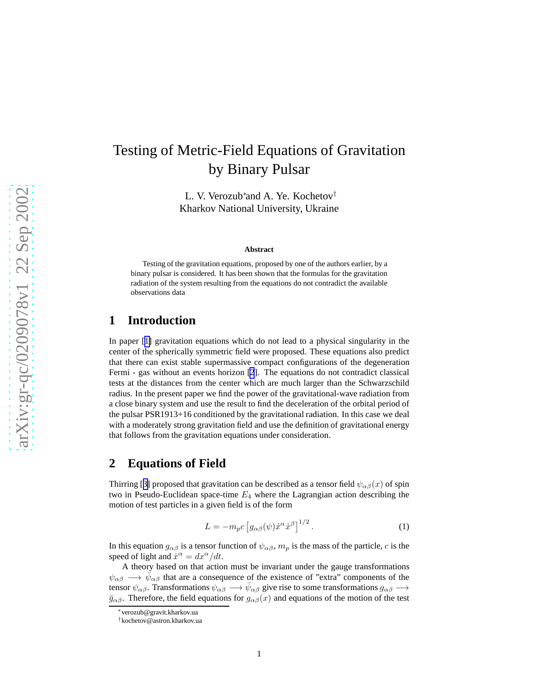# <span id="page-0-0"></span>Testing of Metric-Field Equations of Gravitation by Binary Pulsar

L. V. Verozub<sup>∗</sup> and A. Ye. Kochetov† Kharkov National University, Ukraine

#### **Abstract**

Testing of the gravitation equations, proposed by one of the authors earlier, by a binary pulsar is considered. It has been shown that the formulas for the gravitation radiation of the system resulting from the equations do not contradict the available observations data

### **1 Introduction**

In paper [[1\]](#page-7-0) gravitation equations which do not lead to a physical singularity in the center of the spherically symmetric field were proposed. These equations also predict that there can exist stable supermassive compact configurations of the degeneration Fermi - gas without an events horizon [\[2](#page-7-0)]. The equations do not contradict classical tests at the distances from the center which are much larger than the Schwarzschild radius. In the present paper we find the power of the gravitational-wave radiation from a close binary system and use the result to find the deceleration of the orbital period of the pulsar PSR1913+16 conditioned by the gravitational radiation. In this case we deal with a moderately strong gravitation field and use the definition of gravitational energy that follows from the gravitation equations under consideration.

#### **2 Equations of Field**

Thirring [[3\]](#page-7-0) proposed that gravitation can be described as a tensor field  $\psi_{\alpha\beta}(x)$  of spin two in Pseudo-Euclidean space-time  $E_4$  where the Lagrangian action describing the motion of test particles in a given field is of the form

$$
L = -m_p c \left[ g_{\alpha\beta}(\psi) \dot{x}^\alpha \dot{x}^\beta \right]^{1/2} . \tag{1}
$$

In this equation  $g_{\alpha\beta}$  is a tensor function of  $\psi_{\alpha\beta}$ ,  $m_p$  is the mass of the particle, c is the speed of light and  $\dot{x}^{\alpha} = dx^{\alpha}/dt$ .

A theory based on that action must be invariant under the gauge transformations  $\psi_{\alpha\beta} \longrightarrow \bar{\psi}_{\alpha\beta}$  that are a consequence of the existence of "extra" components of the tensor  $\psi_{\alpha\beta}$ . Transformations  $\psi_{\alpha\beta} \longrightarrow \bar{\psi}_{\alpha\beta}$  give rise to some transformations  $g_{\alpha\beta} \longrightarrow$  $\bar{g}_{\alpha\beta}$ . Therefore, the field equations for  $g_{\alpha\beta}(x)$  and equations of the motion of the test

<sup>∗</sup>verozub@gravit.kharkov.ua

<sup>†</sup>kochetov@astron.kharkov.ua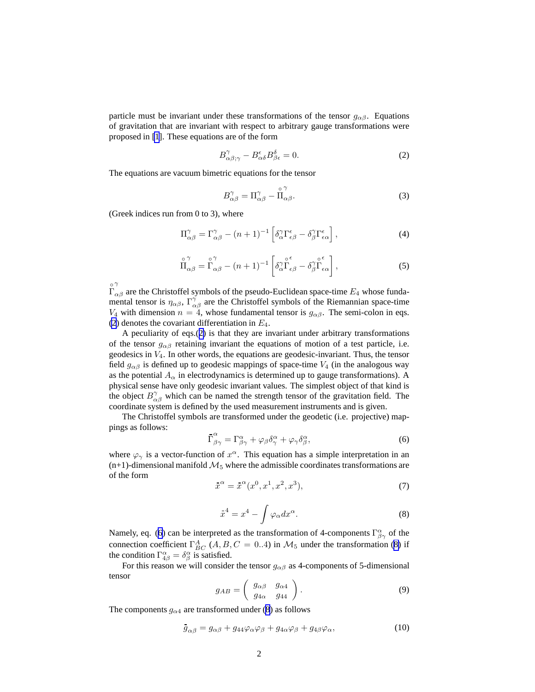<span id="page-1-0"></span>particle must be invariant under these transformations of the tensor  $g_{\alpha\beta}$ . Equations of gravitation that are invariant with respect to arbitrary gauge transformations were proposed in [\[1](#page-7-0)]. These equations are of the form

$$
B^{\gamma}_{\alpha\beta;\gamma} - B^{\epsilon}_{\alpha\delta} B^{\delta}_{\beta\epsilon} = 0.
$$
 (2)

The equations are vacuum bimetric equations for the tensor

$$
B^{\gamma}_{\alpha\beta} = \Pi^{\gamma}_{\alpha\beta} - \stackrel{\circ}{\Pi}^{\gamma}_{\alpha\beta}.
$$
 (3)

(Greek indices run from 0 to 3), where

$$
\Pi^{\gamma}_{\alpha\beta} = \Gamma^{\gamma}_{\alpha\beta} - (n+1)^{-1} \left[ \delta^{\gamma}_{\alpha} \Gamma^{\epsilon}_{\epsilon\beta} - \delta^{\gamma}_{\beta} \Gamma^{\epsilon}_{\epsilon\alpha} \right], \tag{4}
$$

$$
\mathop{\Pi_{\alpha\beta}}^{\circ\gamma} = \mathop{\Gamma_{\alpha\beta}}^{\circ\gamma} - (n+1)^{-1} \left[ \delta^{\gamma}_{\alpha} \mathop{\Gamma_{\epsilon\beta}}^{\circ\epsilon} - \delta^{\gamma}_{\beta} \mathop{\Gamma_{\epsilon\alpha}}^{\circ} \right],
$$
 (5)

◦ Γ γ  $\alpha\beta$  are the Christoffel symbols of the pseudo-Euclidean space-time  $E_4$  whose fundamental tensor is  $\eta_{\alpha\beta}$ ,  $\Gamma^{\gamma}_{\alpha\beta}$  are the Christoffel symbols of the Riemannian space-time V<sub>4</sub> with dimension  $n = 4$ , whose fundamental tensor is  $g_{\alpha\beta}$ . The semi-colon in eqs. (2) denotes the covariant differentiation in  $E_4$ .

A peculiarity of eqs.(2) is that they are invariant under arbitrary transformations of the tensor  $g_{\alpha\beta}$  retaining invariant the equations of motion of a test particle, i.e. geodesics in  $V_4$ . In other words, the equations are geodesic-invariant. Thus, the tensor field  $g_{\alpha\beta}$  is defined up to geodesic mappings of space-time  $V_4$  (in the analogous way as the potential  $A_{\alpha}$  in electrodynamics is determined up to gauge transformations). A physical sense have only geodesic invariant values. The simplest object of that kind is the object  $B^{\gamma}_{\alpha\beta}$  which can be named the strength tensor of the gravitation field. The coordinate system is defined by the used measurement instruments and is given.

The Christoffel symbols are transformed under the geodetic (i.e. projective) mappings as follows:

$$
\bar{\Gamma}^{\alpha}_{\beta\gamma} = \Gamma^{\alpha}_{\beta\gamma} + \varphi_{\beta}\delta^{\alpha}_{\gamma} + \varphi_{\gamma}\delta^{\alpha}_{\beta},\tag{6}
$$

where  $\varphi_{\gamma}$  is a vector-function of  $x^{\alpha}$ . This equation has a simple interpretation in an  $(n+1)$ -dimensional manifold  $\mathcal{M}_5$  where the admissible coordinates transformations are of the form

$$
\bar{x}^{\alpha} = \bar{x}^{\alpha}(x^0, x^1, x^2, x^3),\tag{7}
$$

$$
x^4 = x^4 - \int \varphi_\alpha dx^\alpha. \tag{8}
$$

Namely, eq. (6) can be interpreted as the transformation of 4-components  $\Gamma^{\alpha}_{\beta\gamma}$  of the connection coefficient  $\Gamma_{BC}^{A}$  (*A*, *B*, *C* = 0..4) in  $\mathcal{M}_5$  under the transformation (8) if the condition  $\Gamma^{\alpha}_{4\beta} = \delta^{\alpha}_{\beta}$  is satisfied.

For this reason we will consider the tensor  $g_{\alpha\beta}$  as 4-components of 5-dimensional tensor

$$
g_{AB} = \left(\begin{array}{cc} g_{\alpha\beta} & g_{\alpha4} \\ g_{4\alpha} & g_{44} \end{array}\right). \tag{9}
$$

The components  $g_{\alpha 4}$  are transformed under (8) as follows

$$
\bar{g}_{\alpha\beta} = g_{\alpha\beta} + g_{44}\varphi_\alpha\varphi_\beta + g_{4\alpha}\varphi_\beta + g_{4\beta}\varphi_\alpha,\tag{10}
$$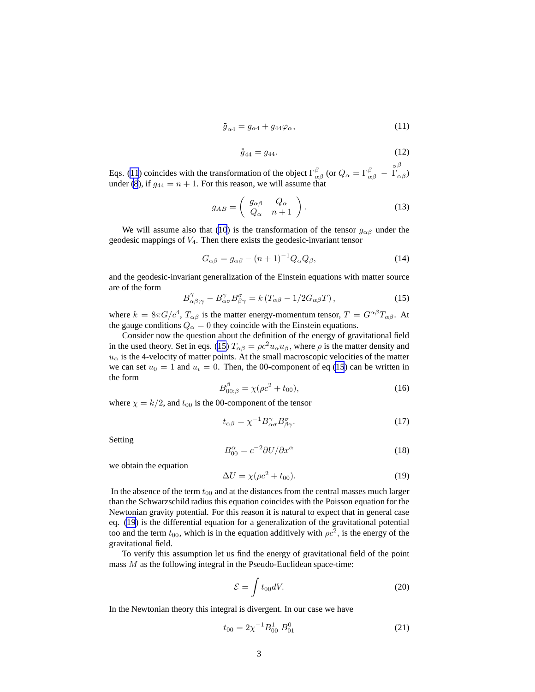$$
\bar{g}_{\alpha 4} = g_{\alpha 4} + g_{44} \varphi_{\alpha},\tag{11}
$$

$$
\bar{g}_{44} = g_{44}.\tag{12}
$$

<span id="page-2-0"></span>Eqs. (11) coincides with the transformation of the object  $\Gamma^{\beta}_{\alpha\beta}$  (or  $Q_{\alpha} = \Gamma^{\beta}_{\alpha\beta}$  – ◦ Γ β  $_{\alpha\beta})$ under [\(8](#page-1-0)), if  $q_{44} = n + 1$ . For this reason, we will assume that

$$
g_{AB} = \left(\begin{array}{cc} g_{\alpha\beta} & Q_{\alpha} \\ Q_{\alpha} & n+1 \end{array}\right). \tag{13}
$$

We will assume also that [\(10](#page-1-0)) is the transformation of the tensor  $g_{\alpha\beta}$  under the geodesic mappings of  $V_4$ . Then there exists the geodesic-invariant tensor

$$
G_{\alpha\beta} = g_{\alpha\beta} - (n+1)^{-1} Q_{\alpha} Q_{\beta}, \qquad (14)
$$

and the geodesic-invariant generalization of the Einstein equations with matter source are of the form

$$
B^{\gamma}_{\alpha\beta;\gamma} - B^{\gamma}_{\alpha\sigma} B^{\sigma}_{\beta\gamma} = k \left( T_{\alpha\beta} - 1/2 G_{\alpha\beta} T \right), \qquad (15)
$$

where  $k = 8\pi G/c^4$ ,  $T_{\alpha\beta}$  is the matter energy-momentum tensor,  $T = G^{\alpha\beta}T_{\alpha\beta}$ . At the gauge conditions  $Q_{\alpha} = 0$  they coincide with the Einstein equations.

Consider now the question about the definition of the energy of gravitational field in the used theory. Set in eqs. (15)  $T_{\alpha\beta} = \rho c^2 u_{\alpha} u_{\beta}$ , where  $\rho$  is the matter density and  $u_{\alpha}$  is the 4-velocity of matter points. At the small macroscopic velocities of the matter we can set  $u_0 = 1$  and  $u_i = 0$ . Then, the 00-component of eq (15) can be written in the form

$$
B_{00;\beta}^{\beta} = \chi(\rho c^2 + t_{00}),\tag{16}
$$

where  $\chi = k/2$ , and  $t_{00}$  is the 00-component of the tensor

$$
t_{\alpha\beta} = \chi^{-1} B^{\gamma}_{\alpha\sigma} B^{\sigma}_{\beta\gamma}.
$$
 (17)

Setting

$$
B_{00}^{\alpha} = c^{-2} \partial U / \partial x^{\alpha} \tag{18}
$$

we obtain the equation

$$
\Delta U = \chi(\rho c^2 + t_{00}).\tag{19}
$$

In the absence of the term  $t_{00}$  and at the distances from the central masses much larger than the Schwarzschild radius this equation coincides with the Poisson equation for the Newtonian gravity potential. For this reason it is natural to expect that in general case eq. (19) is the differential equation for a generalization of the gravitational potential too and the term  $t_{00}$ , which is in the equation additively with  $\rho c^2$ , is the energy of the gravitational field.

To verify this assumption let us find the energy of gravitational field of the point mass  $M$  as the following integral in the Pseudo-Euclidean space-time:

$$
\mathcal{E} = \int t_{00} dV. \tag{20}
$$

In the Newtonian theory this integral is divergent. In our case we have

$$
t_{00} = 2\chi^{-1}B_{00}^1 \, B_{01}^0 \tag{21}
$$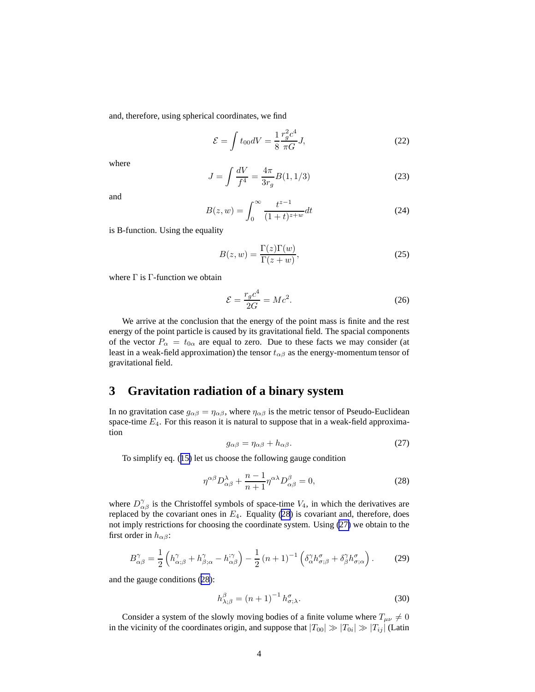<span id="page-3-0"></span>and, therefore, using spherical coordinates, we find

$$
\mathcal{E} = \int t_{00} dV = \frac{1}{8} \frac{r_g^2 c^4}{\pi G} J,\tag{22}
$$

where

$$
J = \int \frac{dV}{f^4} = \frac{4\pi}{3r_g} B(1, 1/3)
$$
 (23)

and

$$
B(z, w) = \int_0^\infty \frac{t^{z-1}}{(1+t)^{z+w}} dt
$$
 (24)

is B-function. Using the equality

$$
B(z, w) = \frac{\Gamma(z)\Gamma(w)}{\Gamma(z+w)},
$$
\n(25)

where  $\Gamma$  is  $\Gamma$ -function we obtain

$$
\mathcal{E} = \frac{r_g c^4}{2G} = Mc^2.
$$
\n(26)

We arrive at the conclusion that the energy of the point mass is finite and the rest energy of the point particle is caused by its gravitational field. The spacial components of the vector  $P_{\alpha} = t_{0\alpha}$  are equal to zero. Due to these facts we may consider (at least in a weak-field approximation) the tensor  $t_{\alpha\beta}$  as the energy-momentum tensor of gravitational field.

## **3 Gravitation radiation of a binary system**

In no gravitation case  $g_{\alpha\beta} = \eta_{\alpha\beta}$ , where  $\eta_{\alpha\beta}$  is the metric tensor of Pseudo-Euclidean space-time  $E_4$ . For this reason it is natural to suppose that in a weak-field approximation

$$
g_{\alpha\beta} = \eta_{\alpha\beta} + h_{\alpha\beta}.\tag{27}
$$

To simplify eq. ([15\)](#page-2-0) let us choose the following gauge condition

$$
\eta^{\alpha\beta}D^{\lambda}_{\alpha\beta} + \frac{n-1}{n+1}\eta^{\alpha\lambda}D^{\beta}_{\alpha\beta} = 0, \qquad (28)
$$

where  $D_{\alpha\beta}^{\gamma}$  is the Christoffel symbols of space-time  $V_4$ , in which the derivatives are replaced by the covariant ones in  $E_4$ . Equality (28) is covariant and, therefore, does not imply restrictions for choosing the coordinate system. Using (27) we obtain to the first order in  $h_{\alpha\beta}$ :

$$
B^{\gamma}_{\alpha\beta} = \frac{1}{2} \left( h^{\gamma}_{\alpha;\beta} + h^{\gamma}_{\beta;\alpha} - h^{\gamma\gamma}_{\alpha\beta} \right) - \frac{1}{2} \left( n+1 \right)^{-1} \left( \delta^{\gamma}_{\alpha} h^{\sigma}_{\sigma;\beta} + \delta^{\gamma}_{\beta} h^{\sigma}_{\sigma;\alpha} \right). \tag{29}
$$

and the gauge conditions (28):

$$
h_{\lambda;\beta}^{\beta} = (n+1)^{-1} h_{\sigma;\lambda}^{\sigma}.
$$
 (30)

Consider a system of the slowly moving bodies of a finite volume where  $T_{\mu\nu} \neq 0$ in the vicinity of the coordinates origin, and suppose that  $|T_{00}| \gg |T_{0i}| \gg |T_{ij}|$  (Latin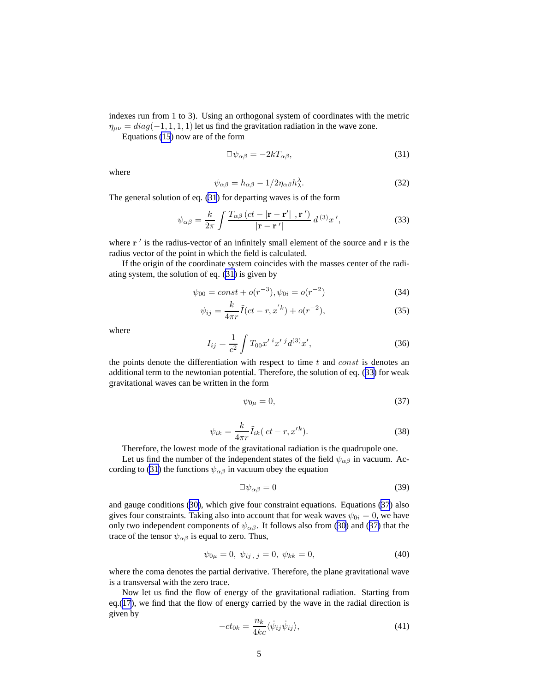<span id="page-4-0"></span>indexes run from 1 to 3). Using an orthogonal system of coordinates with the metric  $\eta_{\mu\nu} = diag(-1, 1, 1, 1)$  let us find the gravitation radiation in the wave zone.

Equations [\(15](#page-2-0)) now are of the form

$$
\Box \psi_{\alpha\beta} = -2kT_{\alpha\beta},\tag{31}
$$

where

$$
\psi_{\alpha\beta} = h_{\alpha\beta} - 1/2\eta_{\alpha\beta}h_{\lambda}^{\lambda}.
$$
\n(32)

The general solution of eq. (31) for departing waves is of the form

$$
\psi_{\alpha\beta} = \frac{k}{2\pi} \int \frac{T_{\alpha\beta} \left(ct - |\mathbf{r} - \mathbf{r}'|, \mathbf{r}' \right)}{|\mathbf{r} - \mathbf{r}'|} d^{\left(3\right)} x',\tag{33}
$$

where  $\mathbf{r}'$  is the radius-vector of an infinitely small element of the source and  $\mathbf{r}$  is the radius vector of the point in which the field is calculated.

If the origin of the coordinate system coincides with the masses center of the radiating system, the solution of eq. (31) is given by

$$
\psi_{00} = const + o(r^{-3}), \psi_{0i} = o(r^{-2})
$$
\n(34)

$$
\psi_{ij} = \frac{k}{4\pi r} \ddot{I}(ct - r, x^{'k}) + o(r^{-2}),\tag{35}
$$

where

$$
I_{ij} = \frac{1}{c^2} \int T_{00} x'^i x'^j d^{(3)} x', \qquad (36)
$$

the points denote the differentiation with respect to time  $t$  and const is denotes an additional term to the newtonian potential. Therefore, the solution of eq. (33) for weak gravitational waves can be written in the form

$$
\psi_{0\mu} = 0,\tag{37}
$$

$$
\psi_{ik} = \frac{k}{4\pi r} \ddot{I}_{ik} \left(ct - r, x'^k\right).
$$
\n(38)

Therefore, the lowest mode of the gravitational radiation is the quadrupole one.

Let us find the number of the independent states of the field  $\psi_{\alpha\beta}$  in vacuum. According to (31) the functions  $\psi_{\alpha\beta}$  in vacuum obey the equation

$$
\Box \psi_{\alpha\beta} = 0 \tag{39}
$$

and gauge conditions ([30\)](#page-3-0), which give four constraint equations. Equations (37) also gives four constraints. Taking also into account that for weak waves  $\psi_{0i} = 0$ , we have only two independent components of  $\psi_{\alpha\beta}$ . It follows also from ([30\)](#page-3-0) and (37) that the trace of the tensor  $\psi_{\alpha\beta}$  is equal to zero. Thus,

$$
\psi_{0\mu} = 0, \ \psi_{ij}, \ j = 0, \ \psi_{kk} = 0,\tag{40}
$$

where the coma denotes the partial derivative. Therefore, the plane gravitational wave is a transversal with the zero trace.

Now let us find the flow of energy of the gravitational radiation. Starting from eq.[\(17](#page-2-0)), we find that the flow of energy carried by the wave in the radial direction is given by

$$
-ct_{0k} = \frac{n_k}{4kc} \langle \dot{\psi}_{ij} \dot{\psi}_{ij} \rangle,
$$
\n(41)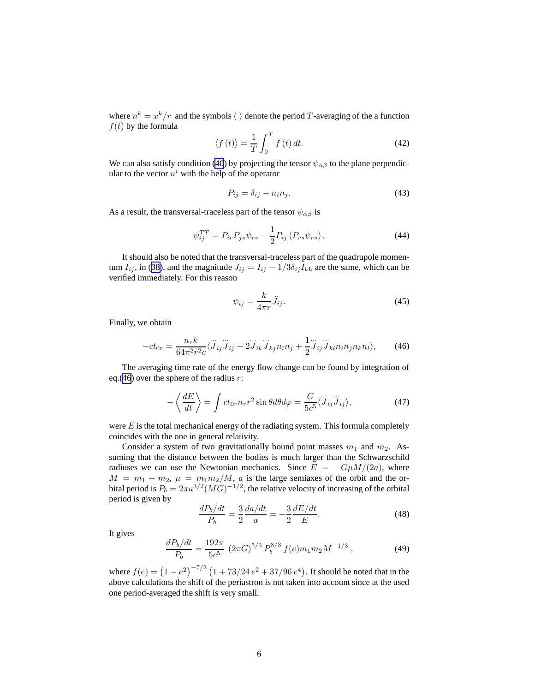<span id="page-5-0"></span>where  $n^k = x^k/r$  and the symbols  $\langle \rangle$  denote the period T-averaging of the a function  $f(t)$  by the formula

$$
\langle f(t) \rangle = \frac{1}{T} \int_0^T f(t) \, dt. \tag{42}
$$

We can also satisfy condition [\(40](#page-4-0)) by projecting the tensor  $\psi_{\alpha\beta}$  to the plane perpendicular to the vector  $n^i$  with the help of the operator

$$
P_{ij} = \delta_{ij} - n_i n_j. \tag{43}
$$

As a result, the transversal-traceless part of the tensor  $\psi_{\alpha\beta}$  is

$$
\psi_{ij}^{TT} = P_{ir} P_{js} \psi_{rs} - \frac{1}{2} P_{ij} \left( P_{rs} \psi_{rs} \right),\tag{44}
$$

It should also be noted that the transversal-traceless part of the quadrupole momentum  $I_{ij}$ , in [\(38](#page-4-0)), and the magnitude  $J_{ij} = I_{ij} - 1/3\delta_{ij}I_{kk}$  are the same, which can be verified immediately. For this reason

$$
\psi_{ij} = \frac{k}{4\pi r} \ddot{J}_{ij}.
$$
\n(45)

Finally, we obtain

$$
-ct_{0r} = \frac{n_r k}{64\pi^2 r^2 c} \langle \ddot{J}_{ij} \ddot{J}_{ij} - 2 \ddot{J}_{ik} \ddot{J}_{kj} n_i n_j + \frac{1}{2} \ddot{J}_{ij} \dddot{J}_{kl} n_i n_j n_k n_l \rangle, \qquad (46)
$$

The averaging time rate of the energy flow change can be found by integration of eq.(46) over the sphere of the radius  $r$ :

$$
-\left\langle \frac{dE}{dt} \right\rangle = \int ct_{0r} n_r r^2 \sin \theta d\theta d\varphi = \frac{G}{5c^5} \langle \ddot{J}_{ij} \ddot{J}_{ij} \rangle, \tag{47}
$$

were  $E$  is the total mechanical energy of the radiating system. This formula completely coincides with the one in general relativity.

Consider a system of two gravitationally bound point masses  $m_1$  and  $m_2$ . Assuming that the distance between the bodies is much larger than the Schwarzschild radiuses we can use the Newtonian mechanics. Since  $E = -G\mu M/(2a)$ , where  $M = m_1 + m_2$ ,  $\mu = m_1 m_2 / M$ , a is the large semiaxes of the orbit and the orbital period is  $P_b = 2\pi a^{3/2} (MG)^{-1/2}$ , the relative velocity of increasing of the orbital period is given by

$$
\frac{dP_b/dt}{P_b} = \frac{3}{2} \frac{da/dt}{a} = -\frac{3}{2} \frac{dE/dt}{E}.
$$
 (48)

It gives

$$
\frac{dP_b/dt}{P_b} = \frac{192\pi}{5c^5} \left(2\pi G\right)^{5/3} P_b^{8/3} f(e) m_1 m_2 M^{-1/3} \,,\tag{49}
$$

where  $f(e) = (1 - e^2)^{-7/2} (1 + 73/24 e^2 + 37/96 e^4)$ . It should be noted that in the above calculations the shift of the periastron is not taken into account since at the used one period-averaged the shift is very small.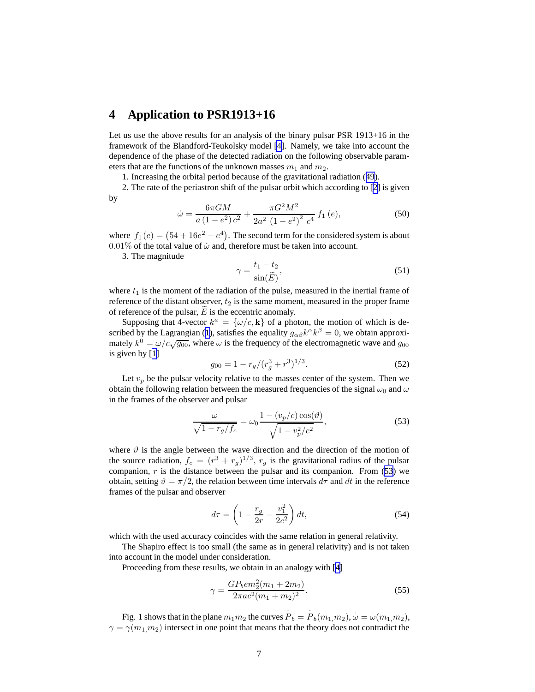### <span id="page-6-0"></span>**4 Application to PSR1913+16**

Let us use the above results for an analysis of the binary pulsar PSR 1913+16 in the framework of the Blandford-Teukolsky model [\[4](#page-7-0)]. Namely, we take into account the dependence of the phase of the detected radiation on the following observable parameters that are the functions of the unknown masses  $m_1$  and  $m_2$ .

1. Increasing the orbital period because of the gravitational radiation ([49\)](#page-5-0).

2. The rate of the periastron shift of the pulsar orbit which according to [\[2](#page-7-0)] is given by

$$
\dot{\omega} = \frac{6\pi GM}{a\left(1 - e^2\right)c^2} + \frac{\pi G^2 M^2}{2a^2\left(1 - e^2\right)^2 c^4} f_1\left(e\right),\tag{50}
$$

where  $f_1(e) = (54 + 16e^2 - e^4)$ . The second term for the considered system is about  $0.01\%$  of the total value of  $\dot{\omega}$  and, therefore must be taken into account.

3. The magnitude

$$
\gamma = \frac{t_1 - t_2}{\sin(\widetilde{E})},\tag{51}
$$

where  $t_1$  is the moment of the radiation of the pulse, measured in the inertial frame of reference of the distant observer,  $t_2$  is the same moment, measured in the proper frame of reference of the pulsar,  $\tilde{E}$  is the eccentric anomaly.

Supposing that 4-vector  $k^a = {\{\omega/c, \mathbf{k}\}}$  of a photon, the motion of which is de-scribed by the Lagrangian ([1\)](#page-0-0), satisfies the equality  $g_{\alpha\beta}k^{\alpha}k^{\beta} = 0$ , we obtain approximately  $k^0 = \omega/c\sqrt{g_{00}}$ , where  $\omega$  is the frequency of the electromagnetic wave and  $g_{00}$ is given by [[1\]](#page-7-0)

$$
g_{00} = 1 - r_g / (r_g^3 + r^3)^{1/3}.
$$
 (52)

Let  $v_p$  be the pulsar velocity relative to the masses center of the system. Then we obtain the following relation between the measured frequencies of the signal  $\omega_0$  and  $\omega$ in the frames of the observer and pulsar

$$
\frac{\omega}{\sqrt{1 - r_g/f_c}} = \omega_0 \frac{1 - (v_p/c) \cos(\theta)}{\sqrt{1 - v_p^2/c^2}},
$$
\n(53)

where  $\vartheta$  is the angle between the wave direction and the direction of the motion of the source radiation,  $f_c = (r^3 + r_g)^{1/3}$ ,  $r_g$  is the gravitational radius of the pulsar companion,  $r$  is the distance between the pulsar and its companion. From (53) we obtain, setting  $\vartheta = \pi/2$ , the relation between time intervals  $d\tau$  and dt in the reference frames of the pulsar and observer

$$
d\tau = \left(1 - \frac{r_g}{2r} - \frac{v_1^2}{2c^2}\right)dt,\t(54)
$$

which with the used accuracy coincides with the same relation in general relativity.

The Shapiro effect is too small (the same as in general relativity) and is not taken into account in the model under consideration.

Proceeding from these results, we obtain in an analogy with [\[4](#page-7-0)]

 $\overline{a}$ 

$$
\gamma = \frac{GP_b e m_2^2 (m_1 + 2m_2)}{2\pi a c^2 (m_1 + m_2)^2}.
$$
\n(55)

Fig. 1 shows that in the plane  $m_1m_2$  the curves  $\overline{P}_b = \overline{P}_b(m_1,m_2), \overline{\omega} = \overline{\omega}(m_1,m_2),$  $\gamma = \gamma(m_1,m_2)$  intersect in one point that means that the theory does not contradict the